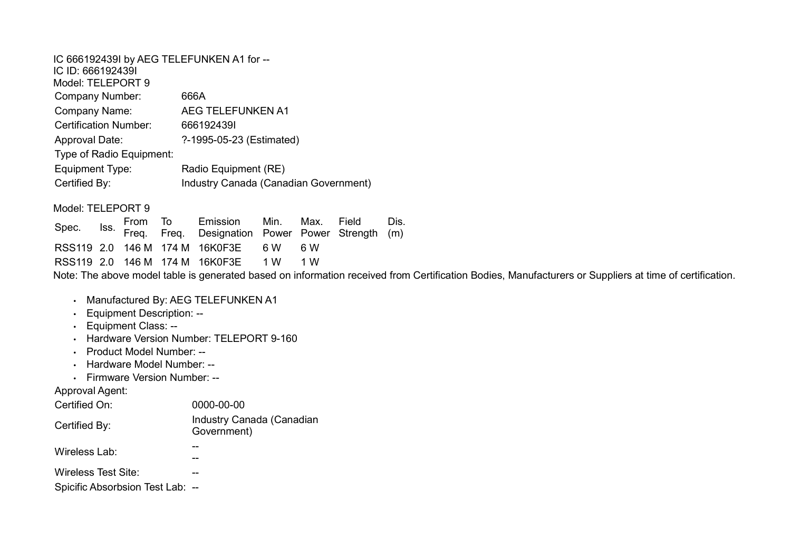IC 666192439I by AEG TELEFUNKEN A1 for -- IC ID: 666192439I Model: TELEPORT 9 Company Number: 666A Company Name: AEG TELEFUNKEN A1 Certification Number: 666192439I Approval Date: ?-1995-05-23 (Estimated) Type of Radio Equipment: Equipment Type: Radio Equipment (RE) Certified By: Industry Canada (Canadian Government) Model: TELEPORT 9 From To Emission Min. Max. Field

Spec. Iss. Freq. Freq. Designation Power Power Strength Dis. (m) RSS119 2.0 146 M 174 M 16K0F3E 6 W 6 W RSS119 2.0 146 M 174 M 16K0F3E 1 W 1 W

Note: The above model table is generated based on information received from Certification Bodies, Manufacturers or Suppliers at time of certification.

- Manufactured By: AEG TELEFUNKEN A1
- Equipment Description: --
- Equipment Class: --
- Hardware Version Number: TELEPORT 9-160
- Product Model Number: --
- Hardware Model Number: --
- Firmware Version Number: --

Approval Agent:

| Certified On:                                           | 0000-00-00                               |
|---------------------------------------------------------|------------------------------------------|
| Certified By:                                           | Industry Canada (Canadian<br>Government) |
| Wireless Lab:                                           |                                          |
| Wireless Test Site:<br>Spicific Absorbsion Test Lab: -- |                                          |